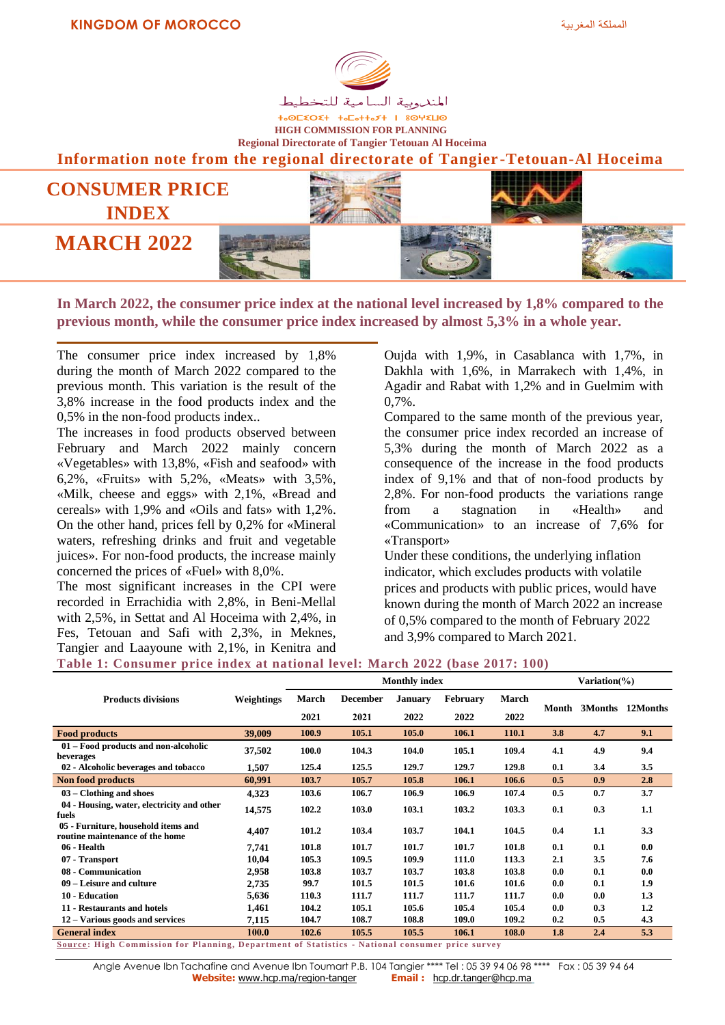

**+**<sup>OL</sup><br />
+-OL<br />
+-OL<br />
+-OL<br />
+-OL<br />
+-OL<br />
+-OL<br />
+-OL<br />
+-OL<br />
+-OL<br />
+-OL<br />
+-OL<br />
+-OL<br />
+-OL<br />
+-OL<br />
+-OL<br />
+-OL<br />
+-OL<br />
+-OL<br />
+-OL<br /> **HIGH COMMISSION FOR PLANNING Regional Directorate of Tangier Tetouan Al Hoceima**

**Information note from the regional directorate of Tangier -Tetouan-Al Hoceima**



**In March 2022, the consumer price index at the national level increased by 1,8% compared to the previous month, while the consumer price index increased by almost 5,3% in a whole year.**

The consumer price index increased by 1,8% during the month of March 2022 compared to the previous month. This variation is the result of the 3,8% increase in the food products index and the 0,5% in the non-food products index..

The increases in food products observed between February and March 2022 mainly concern «Vegetables» with 13,8%, «Fish and seafood» with 6,2%, «Fruits» with 5,2%, «Meats» with 3,5%, «Milk, cheese and eggs» with 2,1%, «Bread and cereals» with 1,9% and «Oils and fats» with 1,2%. On the other hand, prices fell by 0,2% for «Mineral waters, refreshing drinks and fruit and vegetable juices». For non-food products, the increase mainly concerned the prices of «Fuel» with 8,0%.

The most significant increases in the CPI were recorded in Errachidia with 2,8%, in Beni-Mellal with 2,5%, in Settat and Al Hoceima with 2,4%, in Fes, Tetouan and Safi with 2,3%, in Meknes, Tangier and Laayoune with 2,1%, in Kenitra and

Oujda with 1,9%, in Casablanca with 1,7%, in Dakhla with 1,6%, in Marrakech with 1,4%, in Agadir and Rabat with 1,2% and in Guelmim with 0,7%.

Compared to the same month of the previous year, the consumer price index recorded an increase of 5,3% during the month of March 2022 as a consequence of the increase in the food products index of 9,1% and that of non-food products by 2,8%. For non-food products the variations range from a stagnation in «Health» and «Communication» to an increase of 7,6% for «Transport»

Under these conditions, the underlying inflation indicator, which excludes products with volatile prices and products with public prices, would have known during the month of March 2022 an increase of 0,5% compared to the month of February 2022 and 3,9% compared to March 2021.

## **Table 1: Consumer price index at national level: March 2022 (base 2017: 100)**

|                                                                                                 |            |       | <b>Monthly index</b> | Variation(%)   |                 |       |       |     |                  |  |
|-------------------------------------------------------------------------------------------------|------------|-------|----------------------|----------------|-----------------|-------|-------|-----|------------------|--|
| <b>Products divisions</b>                                                                       | Weightings | March | <b>December</b>      | <b>January</b> | <b>February</b> | March |       |     |                  |  |
|                                                                                                 |            | 2021  | 2021                 | 2022           | 2022            | 2022  | Month |     | 3Months 12Months |  |
| <b>Food products</b>                                                                            | 39,009     | 100.9 | 105.1                | 105.0          | 106.1           | 110.1 | 3.8   | 4.7 | 9.1              |  |
| 01 – Food products and non-alcoholic<br>beverages                                               | 37,502     | 100.0 | 104.3                | 104.0          | 105.1           | 109.4 | 4.1   | 4.9 | 9.4              |  |
| 02 - Alcoholic beverages and tobacco                                                            | 1,507      | 125.4 | 125.5                | 129.7          | 129.7           | 129.8 | 0.1   | 3.4 | 3.5              |  |
| <b>Non food products</b>                                                                        | 60,991     | 103.7 | 105.7                | 105.8          | 106.1           | 106.6 | 0.5   | 0.9 | 2.8              |  |
| $03$ – Clothing and shoes                                                                       | 4,323      | 103.6 | 106.7                | 106.9          | 106.9           | 107.4 | 0.5   | 0.7 | 3.7              |  |
| 04 - Housing, water, electricity and other<br>fuels                                             | 14,575     | 102.2 | 103.0                | 103.1          | 103.2           | 103.3 | 0.1   | 0.3 | 1.1              |  |
| 05 - Furniture, household items and<br>routine maintenance of the home                          | 4,407      | 101.2 | 103.4                | 103.7          | 104.1           | 104.5 | 0.4   | 1.1 | 3.3              |  |
| 06 - Health                                                                                     | 7,741      | 101.8 | 101.7                | 101.7          | 101.7           | 101.8 | 0.1   | 0.1 | 0.0              |  |
| 07 - Transport                                                                                  | 10,04      | 105.3 | 109.5                | 109.9          | 111.0           | 113.3 | 2.1   | 3.5 | 7.6              |  |
| 08 - Communication                                                                              | 2,958      | 103.8 | 103.7                | 103.7          | 103.8           | 103.8 | 0.0   | 0.1 | 0.0              |  |
| 09 – Leisure and culture                                                                        | 2,735      | 99.7  | 101.5                | 101.5          | 101.6           | 101.6 | 0.0   | 0.1 | 1.9              |  |
| 10 - Education                                                                                  | 5,636      | 110.3 | 111.7                | 111.7          | 111.7           | 111.7 | 0.0   | 0.0 | 1.3              |  |
| 11 - Restaurants and hotels                                                                     | 1,461      | 104.2 | 105.1                | 105.6          | 105.4           | 105.4 | 0.0   | 0.3 | 1.2              |  |
| 12 – Various goods and services                                                                 | 7,115      | 104.7 | 108.7                | 108.8          | 109.0           | 109.2 | 0.2   | 0.5 | 4.3              |  |
| <b>General index</b>                                                                            | 100.0      | 102.6 | 105.5                | 105.5          | 106.1           | 108.0 | 1.8   | 2.4 | 5.3              |  |
| Source: High Commission for Planning, Department of Statistics - National consumer price survey |            |       |                      |                |                 |       |       |     |                  |  |

Angle Avenue Ibn Tachafine and Avenue Ibn Toumart P.B. 104 Tangier \*\*\*\* Tel : 05 39 94 06 98 \*\*\*\* Fax : 05 39 94 64<br>**Website:** www.hcp.ma/region-tanger **Email :** http.dr.tanger@hcp.ma **Website:** www.hcp.ma/region-tanger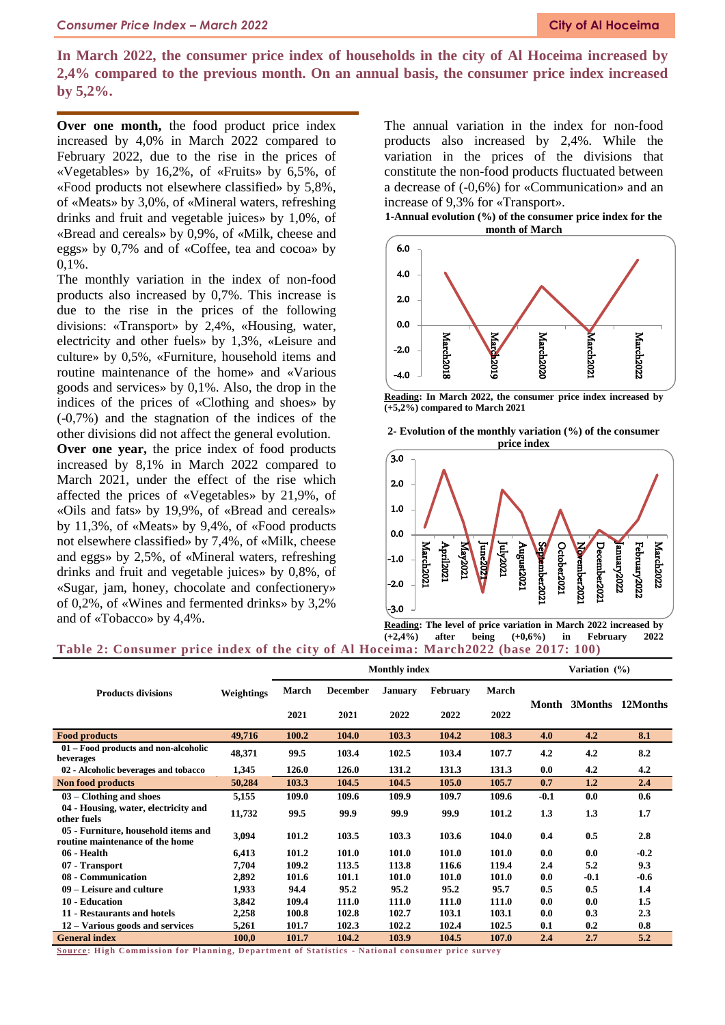**In March 2022, the consumer price index of households in the city of Al Hoceima increased by 2,4% compared to the previous month. On an annual basis, the consumer price index increased by 5,2%.**

**Over one month,** the food product price index increased by 4,0% in March 2022 compared to February 2022, due to the rise in the prices of «Vegetables» by 16,2%, of «Fruits» by 6,5%, of «Food products not elsewhere classified» by 5,8%, of «Meats» by 3,0%, of «Mineral waters, refreshing drinks and fruit and vegetable juices» by 1,0%, of «Bread and cereals» by 0,9%, of «Milk, cheese and eggs» by 0,7% and of «Coffee, tea and cocoa» by 0,1%.

The monthly variation in the index of non-food products also increased by 0,7%. This increase is due to the rise in the prices of the following divisions: «Transport» by 2,4%, «Housing, water, electricity and other fuels» by 1,3%, «Leisure and culture» by 0,5%, «Furniture, household items and routine maintenance of the home» and «Various goods and services» by 0,1%. Also, the drop in the indices of the prices of «Clothing and shoes» by (-0,7%) and the stagnation of the indices of the other divisions did not affect the general evolution.

**Over one year,** the price index of food products increased by 8,1% in March 2022 compared to March 2021, under the effect of the rise which affected the prices of «Vegetables» by 21,9%, of «Oils and fats» by 19,9%, of «Bread and cereals» by 11,3%, of «Meats» by 9,4%, of «Food products not elsewhere classified» by 7,4%, of «Milk, cheese and eggs» by 2,5%, of «Mineral waters, refreshing drinks and fruit and vegetable juices» by 0,8%, of «Sugar, jam, honey, chocolate and confectionery» of 0,2%, of «Wines and fermented drinks» by 3,2% and of «Tobacco» by 4,4%.

The annual variation in the index for non-food products also increased by 2,4%. While the variation in the prices of the divisions that constitute the non-food products fluctuated between a decrease of (-0,6%) for «Communication» and an increase of 9,3% for «Transport».

**1-Annual evolution (%) of the consumer price index for the month of March**



**Reading: In March 2022, the consumer price index increased by (+5,2%) compared to March 2021**





**Reading: The level of price variation in March 2022 increased by (+2,4%) after being (+0,6%) in February 2022**

## **Table 2: Consumer price index of the city of Al Hoceima: March2022 (base 2017: 100)**

|                                                                        |            | <b>Monthly index</b> |                 |                |                 |              |        | Variation (%) |          |  |  |
|------------------------------------------------------------------------|------------|----------------------|-----------------|----------------|-----------------|--------------|--------|---------------|----------|--|--|
| <b>Products divisions</b>                                              | Weightings | March                | <b>December</b> | <b>January</b> | <b>February</b> | <b>March</b> |        | 3Months       | 12Months |  |  |
|                                                                        |            | 2021                 | 2021            | 2022           | 2022            | 2022         | Month  |               |          |  |  |
| <b>Food products</b>                                                   | 49,716     | 100.2                | 104.0           | 103.3          | 104.2           | 108.3        | 4.0    | 4.2           | 8.1      |  |  |
| 01 – Food products and non-alcoholic<br>beverages                      | 48,371     | 99.5                 | 103.4           | 102.5          | 103.4           | 107.7        | 4.2    | 4.2           | 8.2      |  |  |
| 02 - Alcoholic beverages and tobacco                                   | 1,345      | 126.0                | 126.0           | 131.2          | 131.3           | 131.3        | 0.0    | 4.2           | 4.2      |  |  |
| Non food products                                                      | 50,284     | 103.3                | 104.5           | 104.5          | 105.0           | 105.7        | 0.7    | 1.2           | 2.4      |  |  |
| $03 -$ Clothing and shoes                                              | 5,155      | 109.0                | 109.6           | 109.9          | 109.7           | 109.6        | $-0.1$ | 0.0           | 0.6      |  |  |
| 04 - Housing, water, electricity and<br>other fuels                    | 11,732     | 99.5                 | 99.9            | 99.9           | 99.9            | 101.2        | 1.3    | 1.3           | 1.7      |  |  |
| 05 - Furniture, household items and<br>routine maintenance of the home | 3,094      | 101.2                | 103.5           | 103.3          | 103.6           | 104.0        | 0.4    | 0.5           | 2.8      |  |  |
| 06 - Health                                                            | 6,413      | 101.2                | 101.0           | 101.0          | 101.0           | 101.0        | 0.0    | 0.0           | $-0.2$   |  |  |
| 07 - Transport                                                         | 7,704      | 109.2                | 113.5           | 113.8          | 116.6           | 119.4        | 2.4    | 5.2           | 9.3      |  |  |
| 08 - Communication                                                     | 2,892      | 101.6                | 101.1           | 101.0          | 101.0           | 101.0        | 0.0    | $-0.1$        | $-0.6$   |  |  |
| 09 – Leisure and culture                                               | 1,933      | 94.4                 | 95.2            | 95.2           | 95.2            | 95.7         | 0.5    | 0.5           | 1.4      |  |  |
| 10 - Education                                                         | 3,842      | 109.4                | 111.0           | 111.0          | 111.0           | 111.0        | 0.0    | 0.0           | 1.5      |  |  |
| 11 - Restaurants and hotels                                            | 2,258      | 100.8                | 102.8           | 102.7          | 103.1           | 103.1        | 0.0    | 0.3           | 2.3      |  |  |
| 12 – Various goods and services                                        | 5,261      | 101.7                | 102.3           | 102.2          | 102.4           | 102.5        | 0.1    | 0.2           | 0.8      |  |  |
| <b>General index</b>                                                   | 100,0      | 101.7                | 104.2           | 103.9          | 104.5           | 107.0        | 2.4    | 2.7           | 5.2      |  |  |

**<u>Source</u>: High Commission for Planning, Department of Statistics - National consumer price survey</u>**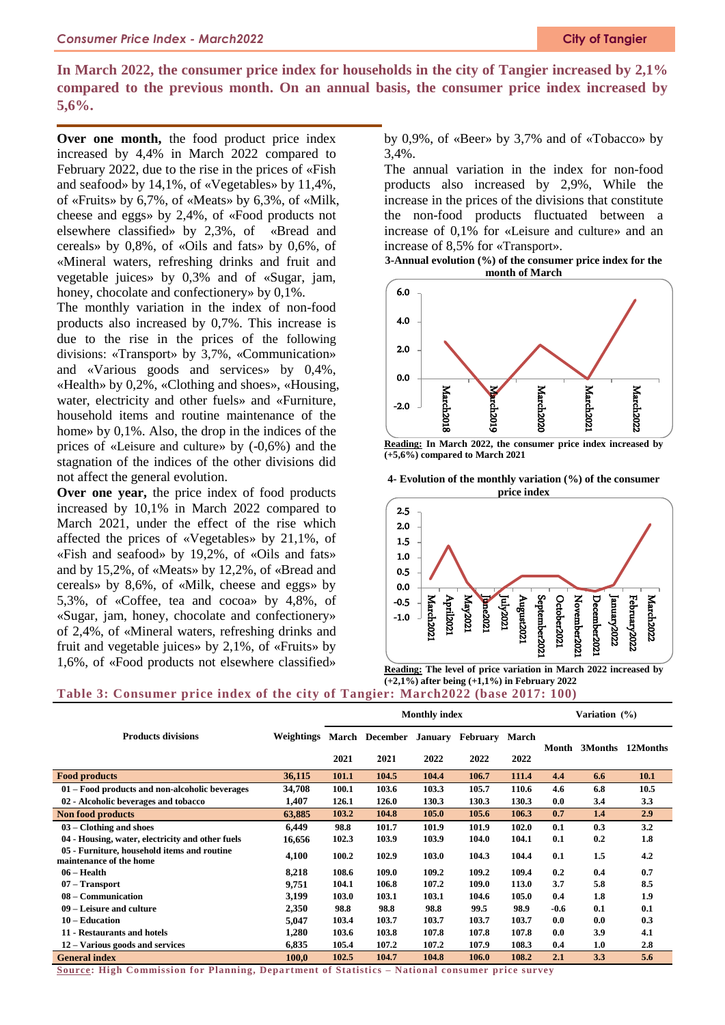## **In March 2022, the consumer price index for households in the city of Tangier increased by 2,1% compared to the previous month. On an annual basis, the consumer price index increased by 5,6%.**

**Over one month,** the food product price index increased by 4,4% in March 2022 compared to February 2022, due to the rise in the prices of «Fish and seafood» by 14,1%, of «Vegetables» by 11,4%, of «Fruits» by 6,7%, of «Meats» by 6,3%, of «Milk, cheese and eggs» by 2,4%, of «Food products not elsewhere classified» by 2,3%, of «Bread and cereals» by 0,8%, of «Oils and fats» by 0,6%, of «Mineral waters, refreshing drinks and fruit and vegetable juices» by 0,3% and of «Sugar, jam, honey, chocolate and confectionery» by 0,1%.

The monthly variation in the index of non-food products also increased by 0,7%. This increase is due to the rise in the prices of the following divisions: «Transport» by 3,7%, «Communication» and «Various goods and services» by 0,4%, «Health» by 0,2%, «Clothing and shoes», «Housing, water, electricity and other fuels» and «Furniture, household items and routine maintenance of the home» by 0,1%. Also, the drop in the indices of the prices of «Leisure and culture» by (-0,6%) and the stagnation of the indices of the other divisions did not affect the general evolution.

**Over one year,** the price index of food products increased by 10,1% in March 2022 compared to March 2021, under the effect of the rise which affected the prices of «Vegetables» by 21,1%, of «Fish and seafood» by 19,2%, of «Oils and fats» and by 15,2%, of «Meats» by 12,2%, of «Bread and cereals» by 8,6%, of «Milk, cheese and eggs» by 5,3%, of «Coffee, tea and cocoa» by 4,8%, of «Sugar, jam, honey, chocolate and confectionery» of 2,4%, of «Mineral waters, refreshing drinks and fruit and vegetable juices» by 2,1%, of «Fruits» by 1,6%, of «Food products not elsewhere classified»

by 0,9%, of «Beer» by 3,7% and of «Tobacco» by 3,4%.

The annual variation in the index for non-food products also increased by 2,9%, While the increase in the prices of the divisions that constitute the non-food products fluctuated between a increase of 0,1% for «Leisure and culture» and an increase of 8,5% for «Transport».

**3-Annual evolution (%) of the consumer price index for the month of March**



**Reading: In March 2022, the consumer price index increased by (+5,6%) compared to March 2021**



**<sup>4-</sup> Evolution of the monthly variation (%) of the consumer price index**

**Reading: The level of price variation in March 2022 increased by (+2,1%) after being (+1,1%) in February 2022**

## **Table 3: Consumer price index of the city of Tangier: March2022 (base 2017: 100)**

|                                                                        |                   |       |                | <b>Monthly index</b> |          | Variation (%) |       |         |          |
|------------------------------------------------------------------------|-------------------|-------|----------------|----------------------|----------|---------------|-------|---------|----------|
| <b>Products divisions</b>                                              | <b>Weightings</b> |       | March December | <b>January</b>       | February | March         | Month | 3Months | 12Months |
|                                                                        |                   | 2021  | 2021           | 2022                 | 2022     | 2022          |       |         |          |
| <b>Food products</b>                                                   | 36,115            | 101.1 | 104.5          | 104.4                | 106.7    | 111.4         | 4.4   | 6.6     | 10.1     |
| 01 – Food products and non-alcoholic beverages                         | 34,708            | 100.1 | 103.6          | 103.3                | 105.7    | 110.6         | 4.6   | 6.8     | 10.5     |
| 02 - Alcoholic beverages and tobacco                                   | 1,407             | 126.1 | 126.0          | 130.3                | 130.3    | 130.3         | 0.0   | 3.4     | 3.3      |
| Non food products                                                      | 63,885            | 103.2 | 104.8          | 105.0                | 105.6    | 106.3         | 0.7   | 1.4     | 2.9      |
| $03$ – Clothing and shoes                                              | 6.449             | 98.8  | 101.7          | 101.9                | 101.9    | 102.0         | 0.1   | 0.3     | 3.2      |
| 04 - Housing, water, electricity and other fuels                       | 16,656            | 102.3 | 103.9          | 103.9                | 104.0    | 104.1         | 0.1   | 0.2     | 1.8      |
| 05 - Furniture, household items and routine<br>maintenance of the home | 4,100             | 100.2 | 102.9          | 103.0                | 104.3    | 104.4         | 0.1   | 1.5     | 4.2      |
| $06 - Health$                                                          | 8,218             | 108.6 | 109.0          | 109.2                | 109.2    | 109.4         | 0.2   | 0.4     | 0.7      |
| $07 - Transport$                                                       | 9,751             | 104.1 | 106.8          | 107.2                | 109.0    | 113.0         | 3.7   | 5.8     | 8.5      |
| 08 – Communication                                                     | 3,199             | 103.0 | 103.1          | 103.1                | 104.6    | 105.0         | 0.4   | 1.8     | 1.9      |
| 09 – Leisure and culture                                               | 2,350             | 98.8  | 98.8           | 98.8                 | 99.5     | 98.9          | -0.6  | 0.1     | 0.1      |
| 10 – Education                                                         | 5,047             | 103.4 | 103.7          | 103.7                | 103.7    | 103.7         | 0.0   | 0.0     | 0.3      |
| 11 - Restaurants and hotels                                            | 1,280             | 103.6 | 103.8          | 107.8                | 107.8    | 107.8         | 0.0   | 3.9     | 4.1      |
| 12 – Various goods and services                                        | 6,835             | 105.4 | 107.2          | 107.2                | 107.9    | 108.3         | 0.4   | 1.0     | 2.8      |
| <b>General index</b>                                                   | 100,0             | 102.5 | 104.7          | 104.8                | 106.0    | 108.2         | 2.1   | 3.3     | 5.6      |

**Source: High Commission for Planning, Depa rtment of Statistics – National consumer price survey**